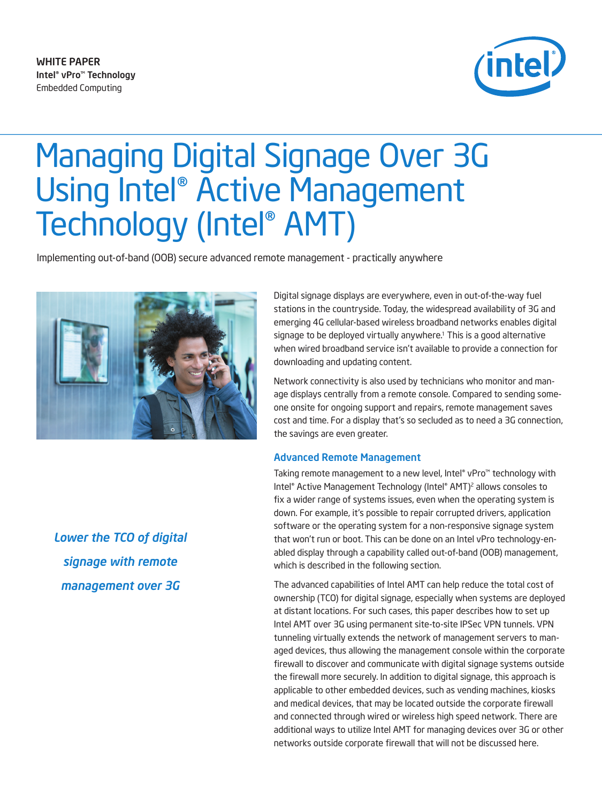WHITE PAPER Intel® vPro™ Technology Embedded Computing



# Managing Digital Signage Over 3G Using Intel® Active Management Technology (Intel® AMT)

Implementing out-of-band (OOB) secure advanced remote management - practically anywhere



*Lower the TCO of digital signage with remote management over 3G*

Digital signage displays are everywhere, even in out-of-the-way fuel stations in the countryside. Today, the widespread availability of 3G and emerging 4G cellular-based wireless broadband networks enables digital signage to be deployed virtually anywhere.<sup>1</sup> This is a good alternative when wired broadband service isn't available to provide a connection for downloading and updating content.

Network connectivity is also used by technicians who monitor and manage displays centrally from a remote console. Compared to sending someone onsite for ongoing support and repairs, remote management saves cost and time. For a display that's so secluded as to need a 3G connection, the savings are even greater.

#### Advanced Remote Management

Taking remote management to a new level, Intel® vPro™ technology with Intel® Active Management Technology (Intel® AMT)2 allows consoles to fix a wider range of systems issues, even when the operating system is down. For example, it's possible to repair corrupted drivers, application software or the operating system for a non-responsive signage system that won't run or boot. This can be done on an Intel vPro technology-enabled display through a capability called out-of-band (OOB) management, which is described in the following section.

The advanced capabilities of Intel AMT can help reduce the total cost of ownership (TCO) for digital signage, especially when systems are deployed at distant locations. For such cases, this paper describes how to set up Intel AMT over 3G using permanent site-to-site IPSec VPN tunnels. VPN tunneling virtually extends the network of management servers to managed devices, thus allowing the management console within the corporate firewall to discover and communicate with digital signage systems outside the firewall more securely. In addition to digital signage, this approach is applicable to other embedded devices, such as vending machines, kiosks and medical devices, that may be located outside the corporate firewall and connected through wired or wireless high speed network. There are additional ways to utilize Intel AMT for managing devices over 3G or other networks outside corporate firewall that will not be discussed here.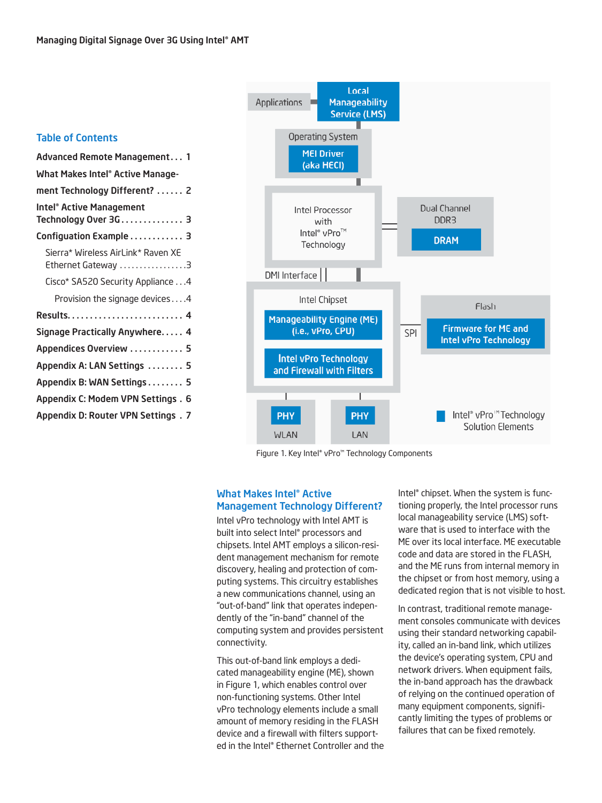### Table of Contents



Figure 1. Key Intel® vPro™ Technology Components

#### What Makes Intel® Active Management Technology Different?

Intel vPro technology with Intel AMT is built into select Intel® processors and chipsets. Intel AMT employs a silicon-resident management mechanism for remote discovery, healing and protection of computing systems. This circuitry establishes a new communications channel, using an "out-of-band" link that operates independently of the "in-band" channel of the computing system and provides persistent connectivity.

This out-of-band link employs a dedicated manageability engine (ME), shown in Figure 1, which enables control over non-functioning systems. Other Intel vPro technology elements include a small amount of memory residing in the FLASH device and a firewall with filters supported in the Intel® Ethernet Controller and the Intel® chipset. When the system is functioning properly, the Intel processor runs local manageability service (LMS) software that is used to interface with the ME over its local interface. ME executable code and data are stored in the FLASH, and the ME runs from internal memory in the chipset or from host memory, using a dedicated region that is not visible to host.

In contrast, traditional remote management consoles communicate with devices using their standard networking capability, called an in-band link, which utilizes the device's operating system, CPU and network drivers. When equipment fails, the in-band approach has the drawback of relying on the continued operation of many equipment components, significantly limiting the types of problems or failures that can be fixed remotely.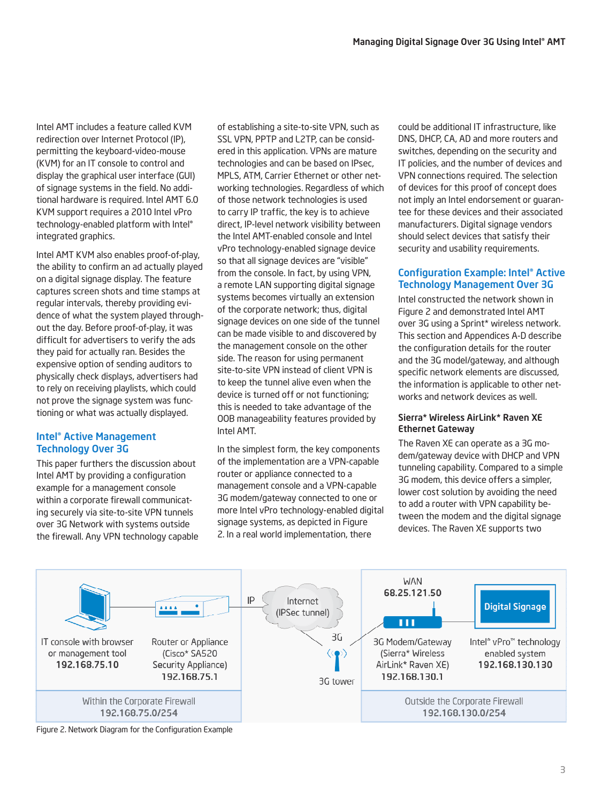Intel AMT includes a feature called KVM redirection over Internet Protocol (IP), permitting the keyboard-video-mouse (KVM) for an IT console to control and display the graphical user interface (GUI) of signage systems in the field. No additional hardware is required. Intel AMT 6.0 KVM support requires a 2010 Intel vPro technology-enabled platform with Intel® integrated graphics.

Intel AMT KVM also enables proof-of-play, the ability to confirm an ad actually played on a digital signage display. The feature captures screen shots and time stamps at regular intervals, thereby providing evidence of what the system played throughout the day. Before proof-of-play, it was difficult for advertisers to verify the ads they paid for actually ran. Besides the expensive option of sending auditors to physically check displays, advertisers had to rely on receiving playlists, which could not prove the signage system was functioning or what was actually displayed.

# Intel® Active Management Technology Over 3G

This paper furthers the discussion about Intel AMT by providing a configuration example for a management console within a corporate firewall communicating securely via site-to-site VPN tunnels over 3G Network with systems outside the firewall. Any VPN technology capable of establishing a site-to-site VPN, such as SSL VPN, PPTP and L2TP, can be considered in this application. VPNs are mature technologies and can be based on IPsec, MPLS, ATM, Carrier Ethernet or other networking technologies. Regardless of which of those network technologies is used to carry IP traffic, the key is to achieve direct, IP-level network visibility between the Intel AMT-enabled console and Intel vPro technology-enabled signage device so that all signage devices are "visible" from the console. In fact, by using VPN, a remote LAN supporting digital signage systems becomes virtually an extension of the corporate network; thus, digital signage devices on one side of the tunnel can be made visible to and discovered by the management console on the other side. The reason for using permanent site-to-site VPN instead of client VPN is to keep the tunnel alive even when the device is turned off or not functioning; this is needed to take advantage of the OOB manageability features provided by Intel AMT.

In the simplest form, the key components of the implementation are a VPN-capable router or appliance connected to a management console and a VPN-capable 3G modem/gateway connected to one or more Intel vPro technology-enabled digital signage systems, as depicted in Figure 2. In a real world implementation, there

could be additional IT infrastructure, like DNS, DHCP, CA, AD and more routers and switches, depending on the security and IT policies, and the number of devices and VPN connections required. The selection of devices for this proof of concept does not imply an Intel endorsement or guarantee for these devices and their associated manufacturers. Digital signage vendors should select devices that satisfy their security and usability requirements.

# Configuration Example: Intel® Active Technology Management Over 3G

Intel constructed the network shown in Figure 2 and demonstrated Intel AMT over 3G using a Sprint\* wireless network. This section and Appendices A-D describe the configuration details for the router and the 3G model/gateway, and although specific network elements are discussed, the information is applicable to other networks and network devices as well.

## Sierra\* Wireless AirLink\* Raven XE Ethernet Gateway

The Raven XE can operate as a 3G modem/gateway device with DHCP and VPN tunneling capability. Compared to a simple 3G modem, this device offers a simpler, lower cost solution by avoiding the need to add a router with VPN capability between the modem and the digital signage devices. The Raven XE supports two



Figure 2. Network Diagram for the Configuration Example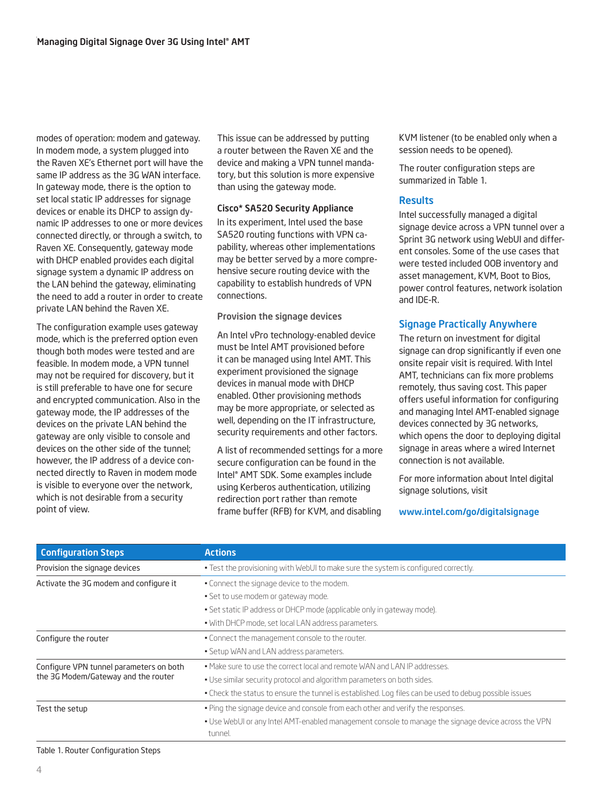modes of operation: modem and gateway. In modem mode, a system plugged into the Raven XE's Ethernet port will have the same IP address as the 3G WAN interface. In gateway mode, there is the option to set local static IP addresses for signage devices or enable its DHCP to assign dynamic IP addresses to one or more devices connected directly, or through a switch, to Raven XE. Consequently, gateway mode with DHCP enabled provides each digital signage system a dynamic IP address on the LAN behind the gateway, eliminating the need to add a router in order to create private LAN behind the Raven XE.

The configuration example uses gateway mode, which is the preferred option even though both modes were tested and are feasible. In modem mode, a VPN tunnel may not be required for discovery, but it is still preferable to have one for secure and encrypted communication. Also in the gateway mode, the IP addresses of the devices on the private LAN behind the gateway are only visible to console and devices on the other side of the tunnel; however, the IP address of a device connected directly to Raven in modem mode is visible to everyone over the network, which is not desirable from a security point of view.

This issue can be addressed by putting a router between the Raven XE and the device and making a VPN tunnel mandatory, but this solution is more expensive than using the gateway mode.

#### Cisco\* SA520 Security Appliance

In its experiment, Intel used the base SA520 routing functions with VPN capability, whereas other implementations may be better served by a more comprehensive secure routing device with the capability to establish hundreds of VPN connections.

#### Provision the signage devices

An Intel vPro technology-enabled device must be Intel AMT provisioned before it can be managed using Intel AMT. This experiment provisioned the signage devices in manual mode with DHCP enabled. Other provisioning methods may be more appropriate, or selected as well, depending on the IT infrastructure, security requirements and other factors.

A list of recommended settings for a more secure configuration can be found in the Intel® AMT SDK. Some examples include using Kerberos authentication, utilizing redirection port rather than remote frame buffer (RFB) for KVM, and disabling

KVM listener (to be enabled only when a session needs to be opened).

The router configuration steps are summarized in Table 1.

# **Results**

Intel successfully managed a digital signage device across a VPN tunnel over a Sprint 3G network using WebUI and different consoles. Some of the use cases that were tested included OOB inventory and asset management, KVM, Boot to Bios, power control features, network isolation and IDE-R.

## Signage Practically Anywhere

The return on investment for digital signage can drop significantly if even one onsite repair visit is required. With Intel AMT, technicians can fix more problems remotely, thus saving cost. This paper offers useful information for configuring and managing Intel AMT-enabled signage devices connected by 3G networks, which opens the door to deploying digital signage in areas where a wired Internet connection is not available.

For more information about Intel digital signage solutions, visit

<www.intel.com/go/digitalsignage>

| <b>Configuration Steps</b>              | <b>Actions</b>                                                                                                 |  |  |
|-----------------------------------------|----------------------------------------------------------------------------------------------------------------|--|--|
| Provision the signage devices           | . Test the provisioning with WebUI to make sure the system is configured correctly.                            |  |  |
| Activate the 3G modem and configure it  | • Connect the signage device to the modem.                                                                     |  |  |
|                                         | • Set to use modem or gateway mode.                                                                            |  |  |
|                                         | • Set static IP address or DHCP mode (applicable only in gateway mode).                                        |  |  |
|                                         | • With DHCP mode, set local LAN address parameters.                                                            |  |  |
| Configure the router                    | . Connect the management console to the router.                                                                |  |  |
|                                         | • Setup WAN and LAN address parameters.                                                                        |  |  |
| Configure VPN tunnel parameters on both | • Make sure to use the correct local and remote WAN and LAN IP addresses.                                      |  |  |
| the 3G Modem/Gateway and the router     | . Use similar security protocol and algorithm parameters on both sides.                                        |  |  |
|                                         | • Check the status to ensure the tunnel is established. Log files can be used to debug possible issues         |  |  |
| Test the setup                          | . Ping the signage device and console from each other and verify the responses.                                |  |  |
|                                         | . Use WebUI or any Intel AMT-enabled management console to manage the signage device across the VPN<br>tunnel. |  |  |

Table 1. Router Configuration Steps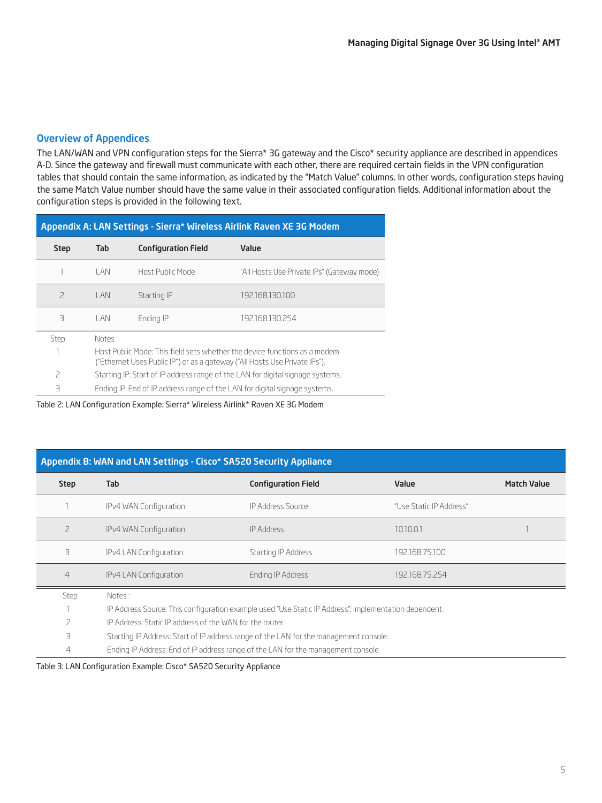## Overview of Appendices

The LAN/WAN and VPN configuration steps for the Sierra\* 3G gateway and the Cisco\* security appliance are described in appendices A-D. Since the gateway and firewall must communicate with each other, there are required certain fields in the VPN configuration tables that should contain the same information, as indicated by the "Match Value" columns. In other words, configuration steps having the same Match Value number should have the same value in their associated configuration fields. Additional information about the configuration steps is provided in the following text.

| Appendix A: LAN Settings - Sierra* Wireless Airlink Raven XE 3G Modem |        |                                                                                                                                                         |                                                                            |  |
|-----------------------------------------------------------------------|--------|---------------------------------------------------------------------------------------------------------------------------------------------------------|----------------------------------------------------------------------------|--|
| <b>Step</b>                                                           | Tab    | <b>Configuration Field</b>                                                                                                                              | Value                                                                      |  |
|                                                                       | I AN   | Host Public Mode                                                                                                                                        | "All Hosts Use Private IPs" (Gateway mode)                                 |  |
| $\overline{\phantom{0}}$                                              | I AN   | Starting IP                                                                                                                                             | 192.168.130.100                                                            |  |
| З                                                                     | I AN   | Ending IP                                                                                                                                               | 192.168.130.254                                                            |  |
| Step                                                                  | Notes: |                                                                                                                                                         |                                                                            |  |
|                                                                       |        | Host Public Mode: This field sets whether the device functions as a modem<br>("Ethernet Uses Public IP") or as a gateway ("All Hosts Use Private IPs"). |                                                                            |  |
| 2                                                                     |        | Starting IP: Start of IP address range of the LAN for digital signage systems.                                                                          |                                                                            |  |
| $\mathcal{A}$                                                         |        |                                                                                                                                                         | Ending IP: End of IP address range of the LAN for digital signage systems. |  |

Table 2: LAN Configuration Example: Sierra\* Wireless Airlink\* Raven XE 3G Modem

# Appendix B: WAN and LAN Settings - Cisco\* SA520 Security Appliance

| <b>Step</b>    | Tab                                                                                                   | <b>Configuration Field</b> | Value                   | <b>Match Value</b> |
|----------------|-------------------------------------------------------------------------------------------------------|----------------------------|-------------------------|--------------------|
|                | IPv4 WAN Configuration                                                                                | IP Address Source          | "Use Static IP Address" |                    |
| 2              | IPv4 WAN Configuration                                                                                | <b>IP Address</b>          | 10.10.0.1               |                    |
| З              | IPv4 LAN Configuration                                                                                | Starting IP Address        | 192.168.75.100          |                    |
| $\overline{4}$ | IPv4 LAN Configuration                                                                                | Ending IP Address          | 192.168.75.254          |                    |
| Step           | Notes:                                                                                                |                            |                         |                    |
|                | IP Address Source: This configuration example used "Use Static IP Address"; implementation dependent. |                            |                         |                    |
| 2              | IP Address: Static IP address of the WAN for the router.                                              |                            |                         |                    |
| 3              | Starting IP Address: Start of IP address range of the LAN for the management console.                 |                            |                         |                    |

4 Ending IP Address: End of IP address range of the LAN for the management console.

Table 3: LAN Configuration Example: Cisco\* SA520 Security Appliance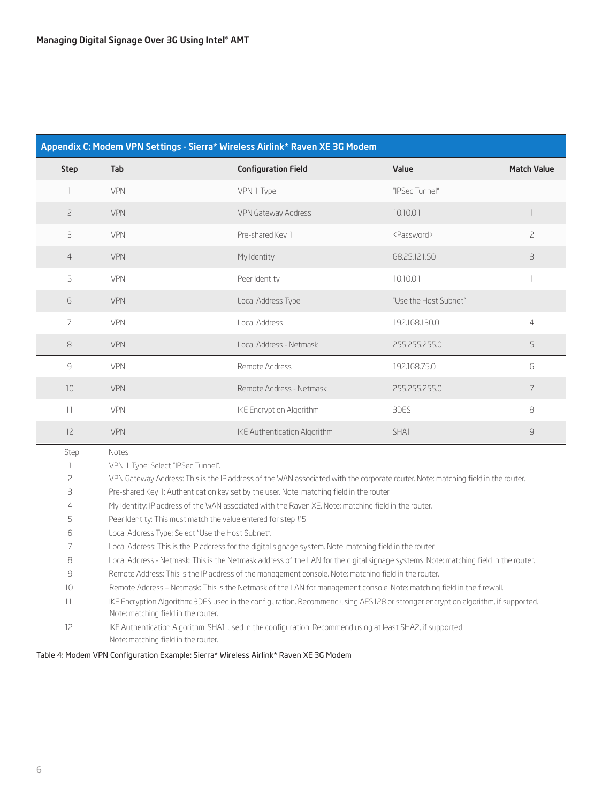| Appendix C: Modem VPN Settings - Sierra* Wireless Airlink* Raven XE 3G Modem |                                                                                                                                                                         |                              |                       |                          |  |
|------------------------------------------------------------------------------|-------------------------------------------------------------------------------------------------------------------------------------------------------------------------|------------------------------|-----------------------|--------------------------|--|
| <b>Step</b>                                                                  | Tab                                                                                                                                                                     | <b>Configuration Field</b>   | Value                 | <b>Match Value</b>       |  |
| 1                                                                            | <b>VPN</b>                                                                                                                                                              | VPN 1 Type                   | "IPSec Tunnel"        |                          |  |
| $\overline{c}$                                                               | <b>VPN</b>                                                                                                                                                              | VPN Gateway Address          | 10.10.0.1             | $\overline{\phantom{a}}$ |  |
| З                                                                            | <b>VPN</b>                                                                                                                                                              | Pre-shared Key 1             | <password></password> | $\overline{c}$           |  |
| 4                                                                            | <b>VPN</b>                                                                                                                                                              | My Identity                  | 68.25.121.50          | 3                        |  |
| 5                                                                            | <b>VPN</b>                                                                                                                                                              | Peer Identity                | 10.10.0.1             | 1                        |  |
| 6                                                                            | <b>VPN</b>                                                                                                                                                              | Local Address Type           | "Use the Host Subnet" |                          |  |
| 7                                                                            | VPN                                                                                                                                                                     | Local Address                | 192.168.130.0         | 4                        |  |
| 8                                                                            | <b>VPN</b>                                                                                                                                                              | Local Address - Netmask      | 255.255.255.0         | 5                        |  |
| 9                                                                            | VPN                                                                                                                                                                     | Remote Address               | 192.168.75.0          | 6                        |  |
| 10                                                                           | <b>VPN</b>                                                                                                                                                              | Remote Address - Netmask     | 255.255.255.0         | $\overline{7}$           |  |
| 11                                                                           | <b>VPN</b>                                                                                                                                                              | IKE Encryption Algorithm     | 3DES                  | 8                        |  |
| 12                                                                           | <b>VPN</b>                                                                                                                                                              | IKE Authentication Algorithm | SHA1                  | $\mathsf{G}$             |  |
| Step                                                                         | Notes:                                                                                                                                                                  |                              |                       |                          |  |
| 1                                                                            | VPN 1 Type: Select "IPSec Tunnel".                                                                                                                                      |                              |                       |                          |  |
| $\overline{c}$                                                               | VPN Gateway Address: This is the IP address of the WAN associated with the corporate router. Note: matching field in the router.                                        |                              |                       |                          |  |
| З                                                                            | Pre-shared Key 1: Authentication key set by the user. Note: matching field in the router.                                                                               |                              |                       |                          |  |
| 4                                                                            | My Identity: IP address of the WAN associated with the Raven XE. Note: matching field in the router.                                                                    |                              |                       |                          |  |
| 5                                                                            | Peer Identity: This must match the value entered for step #5.                                                                                                           |                              |                       |                          |  |
| 6                                                                            | Local Address Type: Select "Use the Host Subnet".                                                                                                                       |                              |                       |                          |  |
| 7                                                                            | Local Address: This is the IP address for the digital signage system. Note: matching field in the router.                                                               |                              |                       |                          |  |
| 8                                                                            | Local Address - Netmask: This is the Netmask address of the LAN for the digital signage systems. Note: matching field in the router.                                    |                              |                       |                          |  |
| 9                                                                            | Remote Address: This is the IP address of the management console. Note: matching field in the router.                                                                   |                              |                       |                          |  |
| 10                                                                           | Remote Address - Netmask: This is the Netmask of the LAN for management console. Note: matching field in the firewall.                                                  |                              |                       |                          |  |
| 11                                                                           | IKE Encryption Algorithm: 3DES used in the configuration. Recommend using AES128 or stronger encryption algorithm, if supported.<br>Note: matching field in the router. |                              |                       |                          |  |
| 12                                                                           | IKE Authentication Algorithm: SHA1 used in the configuration. Recommend using at least SHA2, if supported.<br>Note: matching field in the router.                       |                              |                       |                          |  |

Table 4: Modem VPN Configuration Example: Sierra\* Wireless Airlink\* Raven XE 3G Modem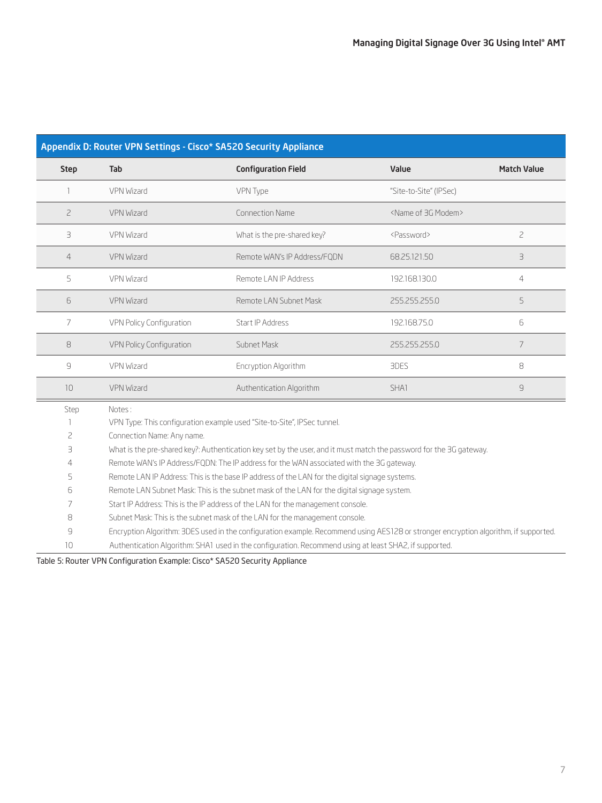| Appendix D: Router VPN Settings - Cisco* SA520 Security Appliance |                                                                                                                                      |                                                                         |                                    |                    |
|-------------------------------------------------------------------|--------------------------------------------------------------------------------------------------------------------------------------|-------------------------------------------------------------------------|------------------------------------|--------------------|
| <b>Step</b>                                                       | Tab                                                                                                                                  | <b>Configuration Field</b>                                              | Value                              | <b>Match Value</b> |
| 1                                                                 | VPN Wizard                                                                                                                           | VPN Type                                                                | "Site-to-Site" (IPSec)             |                    |
| $\overline{c}$                                                    | <b>VPN Wizard</b>                                                                                                                    | <b>Connection Name</b>                                                  | <name 3g="" modem="" of=""></name> |                    |
| 3                                                                 | <b>VPN Wizard</b>                                                                                                                    | What is the pre-shared key?                                             | <password></password>              | $\overline{c}$     |
| $\overline{4}$                                                    | <b>VPN Wizard</b>                                                                                                                    | Remote WAN's IP Address/FODN                                            | 68.25.121.50                       | 3                  |
| 5                                                                 | VPN Wizard                                                                                                                           | Remote LAN IP Address                                                   | 192.168.130.0                      | $\overline{4}$     |
| 6                                                                 | <b>VPN Wizard</b>                                                                                                                    | Remote LAN Subnet Mask                                                  | 255.255.255.0                      | 5                  |
| 7                                                                 | VPN Policy Configuration                                                                                                             | Start IP Address                                                        | 192.168.75.0                       | 6                  |
| 8                                                                 | VPN Policy Configuration                                                                                                             | Subnet Mask                                                             | 255.255.255.0                      | 7                  |
| 9                                                                 | VPN Wizard                                                                                                                           | Encryption Algorithm                                                    | 3DES                               | 8                  |
| 10                                                                | <b>VPN Wizard</b>                                                                                                                    | Authentication Algorithm                                                | SHA1                               | 9                  |
| Step                                                              | Notes:                                                                                                                               |                                                                         |                                    |                    |
|                                                                   |                                                                                                                                      | VPN Type: This configuration example used "Site-to-Site", IPSec tunnel. |                                    |                    |
| 2                                                                 | Connection Name: Any name.                                                                                                           |                                                                         |                                    |                    |
| 3                                                                 | What is the pre-shared key?: Authentication key set by the user, and it must match the password for the 3G gateway.                  |                                                                         |                                    |                    |
| 4                                                                 | Remote WAN's IP Address/FQDN: The IP address for the WAN associated with the 3G gateway.                                             |                                                                         |                                    |                    |
| 5                                                                 | Remote LAN IP Address: This is the base IP address of the LAN for the digital signage systems.                                       |                                                                         |                                    |                    |
| 6                                                                 | Remote LAN Subnet Mask: This is the subnet mask of the LAN for the digital signage system.                                           |                                                                         |                                    |                    |
| 7                                                                 | Start IP Address: This is the IP address of the LAN for the management console.                                                      |                                                                         |                                    |                    |
| 8                                                                 | Subnet Mask: This is the subnet mask of the LAN for the management console.                                                          |                                                                         |                                    |                    |
| 9                                                                 | Encryption Algorithm: 3DES used in the configuration example. Recommend using AES128 or stronger encryption algorithm, if supported. |                                                                         |                                    |                    |
| 10                                                                | Authentication Algorithm: SHA1 used in the configuration. Recommend using at least SHA2, if supported.                               |                                                                         |                                    |                    |

Table 5: Router VPN Configuration Example: Cisco\* SA520 Security Appliance